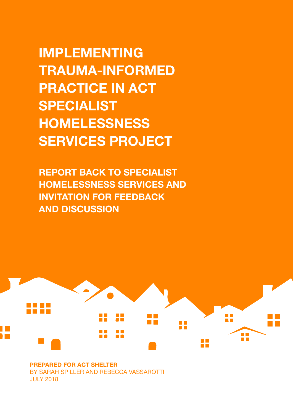**IMPLEMENTING TRAUMA-INFORMED PRACTICE IN ACT SPECIALIST HOMELESSNESS SERVICES PROJECT**

**REPORT BACK TO SPECIALIST HOMELESSNESS SERVICES AND INVITATION FOR FEEDBACK AND DISCUSSION**



**PREPARED FOR ACT SHELTER** BY SARAH SPILLER AND REBECCA VASSAROTTI JULY 2018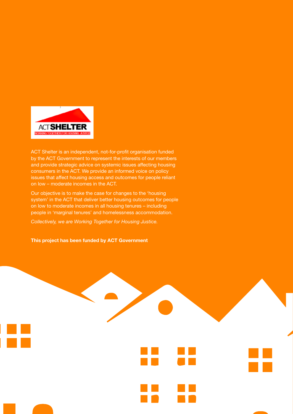

ACT Shelter is an independent, not-for-profit organisation funded by the ACT Government to represent the interests of our members and provide strategic advice on systemic issues affecting housing consumers in the ACT. We provide an informed voice on policy issues that affect housing access and outcomes for people reliant on low – moderate incomes in the ACT.

Our objective is to make the case for changes to the 'housing system' in the ACT that deliver better housing outcomes for people on low to moderate incomes in all housing tenures – including people in 'marginal tenures' and homelessness accommodation.

*Collectively, we are Working Together for Housing Justice.*

**This project has been funded by ACT Government**

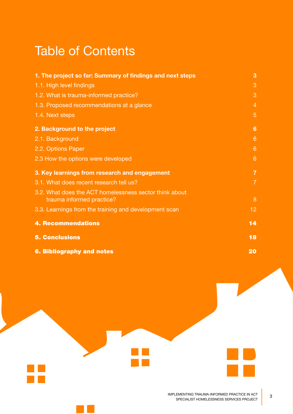## Table of Contents

| 1. The project so far: Summary of findings and next steps                           | 3               |
|-------------------------------------------------------------------------------------|-----------------|
| 1.1. High level findings                                                            | 3               |
| 1.2. What is trauma-informed practice?                                              | 3               |
| 1.3. Proposed recommendations at a glance                                           | $\overline{4}$  |
| 1.4. Next steps                                                                     | 5               |
| 2. Background to the project                                                        | 6               |
| 2.1. Background                                                                     | 6               |
| 2.2. Options Paper                                                                  | 6               |
| 2.3 How the options were developed                                                  | 6               |
| 3. Key learnings from research and engagement                                       | $\overline{7}$  |
| 3.1. What does recent research tell us?                                             | $\overline{7}$  |
| 3.2. What does the ACT homelessness sector think about<br>trauma informed practice? | 8               |
| 3.3. Learnings from the training and development scan                               | 12 <sub>2</sub> |
| <b>4. Recommendations</b>                                                           | 14              |
| <b>5. Conclusions</b>                                                               | 18              |
| <b>6. Bibliography and notes</b>                                                    | 20              |

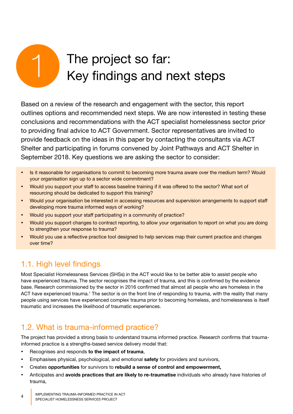# The project so far:<br>
Key findings and next steps

Based on a review of the research and engagement with the sector, this report outlines options and recommended next steps. We are now interested in testing these conclusions and recommendations with the ACT specialist homelessness sector prior to providing final advice to ACT Government. Sector representatives are invited to provide feedback on the ideas in this paper by contacting the consultants via ACT Shelter and participating in forums convened by Joint Pathways and ACT Shelter in September 2018. Key questions we are asking the sector to consider:

- Is it reasonable for organisations to commit to becoming more trauma aware over the medium term? Would your organisation sign up to a sector wide commitment?
- Would you support your staff to access baseline training if it was offered to the sector? What sort of resourcing should be dedicated to support this training?
- Would your organisation be interested in accessing resources and supervision arrangements to support staff developing more trauma informed ways of working?
- Would you support your staff participating in a community of practice?
- Would you support changes to contract reporting, to allow your organisation to report on what you are doing to strengthen your response to trauma?
- Would you use a reflective practice tool designed to help services map their current practice and changes over time?

## 1.1. High level findings

Most Specialist Homelessness Services (SHSs) in the ACT would like to be better able to assist people who have experienced trauma. The sector recognises the impact of trauma, and this is confirmed by the evidence base. Research commissioned by the sector in 2016 confirmed that almost all people who are homeless in the ACT have experienced trauma.<sup>1</sup> The sector is on the front line of responding to trauma, with the reality that many people using services have experienced complex trauma prior to becoming homeless, and homelessness is itself traumatic and increases the likelihood of traumatic experiences.

## 1.2. What is trauma-informed practice?

The project has provided a strong basis to understand trauma informed practice. Research confirms that traumainformed practice is a strengths-based service delivery model that:

- • Recognises and responds **to the impact of trauma**,
- Emphasises physical, psychological, and emotional **safety** for providers and survivors,
- • Creates **opportunities** for survivors to **rebuild a sense of control and empowerment,**
- Anticipates and **avoids practices that are likely to re-traumatise** individuals who already have histories of trauma,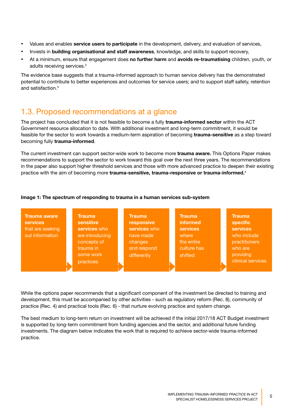- • Values and enables **service users to participate** in the development, delivery, and evaluation of services,
- • Invests in **building organisational and staff awareness**, knowledge, and skills to support recovery,
- • At a minimum, ensure that engagement does **no further harm** and **avoids re-traumatising** children, youth, or adults receiving services.2

The evidence base suggests that a trauma-informed approach to human service delivery has the demonstrated potential to contribute to better experiences and outcomes for service users; and to support staff safety, retention and satisfaction.3

## 1.3. Proposed recommendations at a glance

The project has concluded that it is not feasible to become a fully **trauma-informed sector** within the ACT Government resource allocation to date. With additional investment and long-term commitment, it would be feasible for the sector to work towards a medium-term aspiration of becoming **trauma-sensitive** as a step toward becoming fully **trauma-informed**.

The current investment can support sector-wide work to become more **trauma aware.** This Options Paper makes recommendations to support the sector to work toward this goal over the next three years. The recommendations in the paper also support higher threshold services and those with more advanced practice to deepen their existing practice with the aim of becoming more **trauma-sensitive, trauma-responsive or trauma-informed.**<sup>4</sup>

#### **Image 1: The spectrum of responding to trauma in a human services sub-system**

| <b>Trauma aware</b><br><b>services</b> | <b>Trauma</b><br><b>sensitive</b> | <b>Trauma</b><br>responsive | <b>Trauma</b><br>informed | <b>Trauma</b><br>specific |
|----------------------------------------|-----------------------------------|-----------------------------|---------------------------|---------------------------|
| that are seeking                       | services who                      | services who                | <b>services</b>           | <b>services</b>           |
| out information                        | are introducing                   | have made                   | where                     | who include               |
|                                        | concepts of                       | changes                     | the entire                | practitioners             |
|                                        | trauma in                         | and respond                 | culture has               | who are                   |
|                                        | some work                         | differently                 | shifted                   | providng                  |
|                                        | practices                         |                             |                           | clinical services         |
|                                        |                                   |                             |                           |                           |

While the options paper recommends that a significant component of the investment be directed to training and development, this must be accompanied by other activities - such as regulatory reform (Rec. 8), community of practice (Rec. 4) and practical tools (Rec. 6) - that nurture evolving practice and system change.

The best medium to long-term return on investment will be achieved if the initial 2017/18 ACT Budget investment is supported by long-term commitment from funding agencies and the sector, and additional future funding investments. The diagram below indicates the work that is required to achieve sector-wide trauma-informed practice.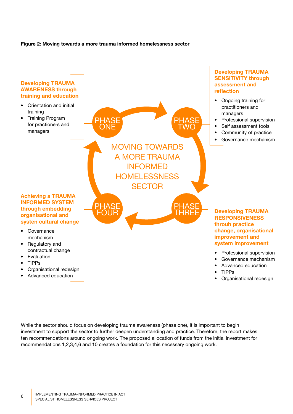#### **Figure 2: Moving towards a more trauma informed homelessness sector**



While the sector should focus on developing trauma awareness (phase one), it is important to begin investment to support the sector to further deepen understanding and practice. Therefore, the report makes ten recommendations around ongoing work. The proposed allocation of funds from the initial investment for recommendations 1,2,3,4,6 and 10 creates a foundation for this necessary ongoing work.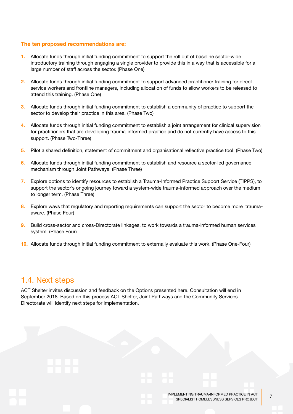#### **The ten proposed recommendations are:**

- **1.** Allocate funds through initial funding commitment to support the roll out of baseline sector-wide introductory training through engaging a single provider to provide this in a way that is accessible for a large number of staff across the sector. (Phase One)
- **2.** Allocate funds through initial funding commitment to support advanced practitioner training for direct service workers and frontline managers, including allocation of funds to allow workers to be released to attend this training. (Phase One)
- **3.** Allocate funds through initial funding commitment to establish a community of practice to support the sector to develop their practice in this area. (Phase Two)
- **4.** Allocate funds through initial funding commitment to establish a joint arrangement for clinical supervision for practitioners that are developing trauma-informed practice and do not currently have access to this support. (Phase Two-Three)
- **5.** Pilot a shared definition, statement of commitment and organisational reflective practice tool. (Phase Two)
- **6.** Allocate funds through initial funding commitment to establish and resource a sector-led governance mechanism through Joint Pathways. (Phase Three)
- **7.** Explore options to identify resources to establish a Trauma-Informed Practice Support Service (TIPPS), to support the sector's ongoing journey toward a system-wide trauma-informed approach over the medium to longer term. (Phase Three)
- **8.** Explore ways that regulatory and reporting requirements can support the sector to become more traumaaware. (Phase Four)
- **9.** Build cross-sector and cross-Directorate linkages, to work towards a trauma-informed human services system. (Phase Four)
- **10.** Allocate funds through initial funding commitment to externally evaluate this work. (Phase One-Four)

## 1.4. Next steps

ACT Shelter invites discussion and feedback on the Options presented here. Consultation will end in September 2018. Based on this process ACT Shelter, Joint Pathways and the Community Services Directorate will identify next steps for implementation.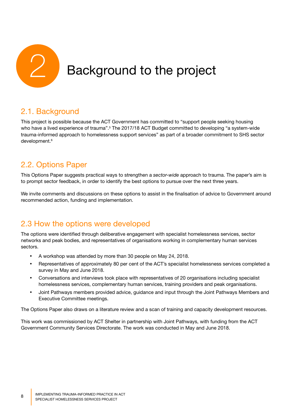

## 2.1. Background

This project is possible because the ACT Government has committed to "support people seeking housing who have a lived experience of trauma".<sup>5</sup> The 2017/18 ACT Budget committed to developing "a system-wide trauma-informed approach to homelessness support services" as part of a broader commitment to SHS sector development.<sup>6</sup>

## 2.2. Options Paper

This Options Paper suggests practical ways to strengthen a *sector-wide* approach to trauma. The paper's aim is to prompt sector feedback, in order to identify the best options to pursue over the next three years.

We invite comments and discussions on these options to assist in the finalisation of advice to Government around recommended action, funding and implementation.

## 2.3 How the options were developed

The options were identified through deliberative engagement with specialist homelessness services, sector networks and peak bodies, and representatives of organisations working in complementary human services sectors.

- A workshop was attended by more than 30 people on May 24, 2018.
- Representatives of approximately 80 per cent of the ACT's specialist homelessness services completed a survey in May and June 2018.
- Conversations and interviews took place with representatives of 20 organisations including specialist homelessness services, complementary human services, training providers and peak organisations.
- Joint Pathways members provided advice, guidance and input through the Joint Pathways Members and Executive Committee meetings.

The Options Paper also draws on a literature review and a scan of training and capacity development resources.

This work was commissioned by ACT Shelter in partnership with Joint Pathways, with funding from the ACT Government Community Services Directorate. The work was conducted in May and June 2018.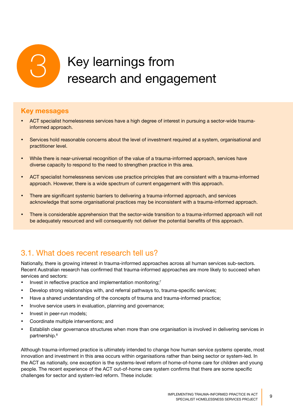

## **Key messages**

- ACT specialist homelessness services have a high degree of interest in pursuing a sector-wide traumainformed approach.
- Services hold reasonable concerns about the level of investment required at a system, organisational and practitioner level.
- While there is near-universal recognition of the value of a trauma-informed approach, services have diverse capacity to respond to the need to strengthen practice in this area.
- • ACT specialist homelessness services use practice principles that are consistent with a trauma-informed approach. However, there is a wide spectrum of current engagement with this approach.
- There are significant systemic barriers to delivering a trauma-informed approach, and services acknowledge that some organisational practices may be inconsistent with a trauma-informed approach.
- There is considerable apprehension that the sector-wide transition to a trauma-informed approach will not be adequately resourced and will consequently not deliver the potential benefits of this approach.

## 3.1. What does recent research tell us?

Nationally, there is growing interest in trauma-informed approaches across all human services sub-sectors. Recent Australian research has confirmed that trauma-informed approaches are more likely to succeed when services and sectors:

- Invest in reflective practice and implementation monitoring; $<sup>7</sup>$ </sup>
- Develop strong relationships with, and referral pathways to, trauma-specific services;
- Have a shared understanding of the concepts of trauma and trauma-informed practice;
- Involve service users in evaluation, planning and governance:
- Invest in peer-run models;
- • Coordinate multiple interventions; and
- • Establish clear governance structures when more than one organisation is involved in delivering services in partnership.8

Although trauma-informed practice is ultimately intended to change how human service *systems* operate, most innovation and investment in this area occurs within organisations rather than being sector or system-led. In the ACT as nationally, one exception is the systems-level reform of home-of-home care for children and young people. The recent experience of the ACT out-of-home care system confirms that there are some specific challenges for sector and system-led reform. These include: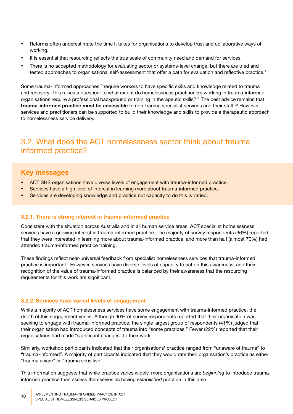- Reforms often underestimate the time it takes for organisations to develop trust and collaborative ways of working.
- It is essential that resourcing reflects the true scale of community need and demand for services.
- There is no accepted methodology for evaluating sector or systems-level change, but there are tried and tested approaches to organisational self-assessment that offer a path for evaluation and reflective practice.<sup>9</sup>

Some trauma-informed approaches<sup>10</sup> require workers to have specific skills and knowledge related to trauma and recovery. This raises a question: to what extent do homelessness practitioners working in trauma-informed organisations require a professional background or training in therapeutic skills?11 The best advice remains that **trauma-informed practice must be accessible** to non-trauma specialist services and their staff.12 However, services and practitioners can be supported to build their knowledge and skills to provide a therapeutic approach to homelessness service delivery.

## 3.2. What does the ACT homelessness sector think about trauma informed practice?

## **Key messages**

- ACT SHS organisations have diverse levels of engagement with trauma-informed practice.
- Services have a high level of interest in learning more about trauma-informed practice.
- Services are developing knowledge and practice but capacity to do this is varied.

#### **3.2.1. There is strong interest in trauma-informed practice**

Consistent with the situation across Australia and in all human service areas, ACT specialist homelessness services have a growing interest in trauma-informed practice. The majority of survey respondents (96%) reported that they were interested in learning more about trauma-informed practice, and more than half (almost 70%) had attended trauma-informed practice training.

These findings reflect near-universal feedback from specialist homelessness services that trauma-informed practice is important. However, services have diverse levels of capacity to act on this awareness; and their recognition of the value of trauma-informed practice is balanced by their awareness that the resourcing requirements for this work are significant.

#### **3.2.2. Services have varied levels of engagement**

While a majority of ACT homelessness services have some engagement with trauma-informed practice, the depth of this engagement varies. Although 90% of survey respondents reported that their organisation was seeking to engage with trauma-informed practice, the single largest group of respondents (41%) judged that their organisation had introduced concepts of trauma into "some practices." Fewer (22%) reported that their organisations had made "significant changes" to their work.

Similarly, workshop participants indicated that their organisations' practice ranged from "unaware of trauma" to "trauma-informed". A majority of participants indicated that they would rate their organisation's practice as either "trauma aware" or "trauma sensitive".

This information suggests that while practice varies widely, more organisations are *beginning* to introduce traumainformed practice than assess themselves as having *established* practice in this area.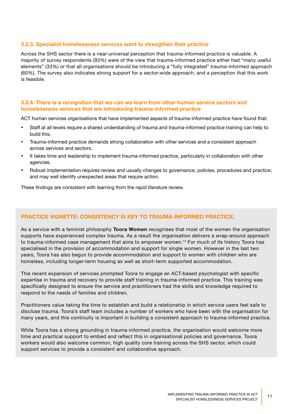#### **3.2.3. Specialist homelessness services want to strengthen their practice**

Across the SHS sector there is a near-universal perception that trauma-informed practice is valuable. A majority of survey respondents (93%) were of the view that trauma-informed practice either had "many useful elements" (33%) or that all organisations should be introducing a "fully integrated" trauma-informed approach (60%). The survey also indicates strong support for a sector-wide approach, and a perception that this work is feasible.

#### **3.2.4. There is a recognition that we can we learn from other human service sectors and homelessness services that are introducing trauma-informed practice**

ACT human services organisations that have implemented aspects of trauma-informed practice have found that:

- • Staff at all levels require a shared understanding of trauma and trauma-informed practice training can help to build this.
- Trauma-informed practice demands strong collaboration with other services and a consistent approach across services and sectors.
- It takes time and leadership to implement trauma-informed practice, particularly in collaboration with other agencies.
- Robust implementation requires review and usually changes to governance, policies, procedures and practice; and may well identify unexpected areas that require action.

These findings are consistent with learning from the rapid literature review.

#### **PRACTICE VIGNETTE: CONSISTENCY IS KEY TO TRAUMA-INFORMED PRACTICE.**

As a service with a feminist philosophy **Toora Women** recognises that most of the women the organisation supports have experienced complex trauma. As a result the organisation delivers a wrap-around approach to trauma-informed case management that aims to empower women.13 For much of its history Toora has specialised in the provision of accommodation and support for single women. However in the last two years, Toora has also begun to provide accommodation and support to women with children who are homeless, including longer-term housing as well as short-term supported accommodation.

This recent expansion of services prompted Toora to engage an ACT-based psychologist with specific expertise in trauma and recovery to provide staff training in trauma-informed practice. This training was specifically designed to ensure the service and practitioners had the skills and knowledge required to respond to the needs of families and children.

Practitioners value taking the time to establish and build a relationship in which service users feel safe to disclose trauma. Toora's staff team includes a number of workers who have been with the organisation for many years, and this continuity is important in building a consistent approach to trauma-informed practice.

While Toora has a strong grounding in trauma-informed practice, the organisation would welcome more time and practical support to embed and reflect this in organisational policies and governance. Toora workers would also welcome common, high quality core training across the SHS sector, which could support services to provide a consistent and collaborative approach.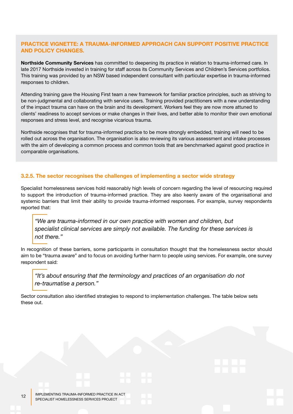#### **PRACTICE VIGNETTE: A TRAUMA-INFORMED APPROACH CAN SUPPORT POSITIVE PRACTICE AND POLICY CHANGES.**

**Northside Community Services** has committed to deepening its practice in relation to trauma-informed care. In late 2017 Northside invested in training for staff across its Community Services and Children's Services portfolios. This training was provided by an NSW based independent consultant with particular expertise in trauma-informed responses to children.

Attending training gave the Housing First team a new framework for familiar practice principles, such as striving to be non-judgmental and collaborating with service users. Training provided practitioners with a new understanding of the impact trauma can have on the brain and its development. Workers feel they are now more attuned to clients' readiness to accept services or make changes in their lives, and better able to monitor their own emotional responses and stress level, and recognise vicarious trauma.

Northside recognises that for trauma-informed practice to be more strongly embedded, training will need to be rolled out across the organisation. The organisation is also reviewing its various assessment and intake processes with the aim of developing a common process and common tools that are benchmarked against good practice in comparable organisations.

#### **3.2.5. The sector recognises the challenges of implementing a sector wide strategy**

Specialist homelessness services hold reasonably high levels of concern regarding the level of resourcing required to support the introduction of trauma-informed practice. They are also keenly aware of the organisational and systemic barriers that limit their ability to provide trauma-informed responses. For example, survey respondents reported that:

*"We are trauma-informed in our own practice with women and children, but specialist clinical services are simply not available. The funding for these services is not there."*

In recognition of these barriers, some participants in consultation thought that the homelessness sector should aim to be "trauma aware" and to focus on avoiding further harm to people using services. For example, one survey respondent said:

*"It's about ensuring that the terminology and practices of an organisation do not re-traumatise a person."* 

Sector consultation also identified strategies to respond to implementation challenges. The table below sets these out.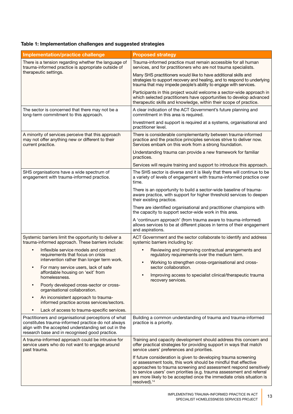## **Table 1: Implementation challenges and suggested strategies**

| Implementation/practice challenge                                                                                                                                                                                    | <b>Proposed strategy</b>                                                                                                                                                                                                                                                                                                                                                              |  |  |  |  |
|----------------------------------------------------------------------------------------------------------------------------------------------------------------------------------------------------------------------|---------------------------------------------------------------------------------------------------------------------------------------------------------------------------------------------------------------------------------------------------------------------------------------------------------------------------------------------------------------------------------------|--|--|--|--|
| There is a tension regarding whether the language of<br>trauma-informed practice is appropriate outside of                                                                                                           | Trauma-informed practice must remain accessible for all human<br>services, and for practitioners who are not trauma specialists.                                                                                                                                                                                                                                                      |  |  |  |  |
| therapeutic settings.                                                                                                                                                                                                | Many SHS practitioners would like to have additional skills and<br>strategies to support recovery and healing, and to respond to underlying<br>trauma that may impede people's ability to engage with services.                                                                                                                                                                       |  |  |  |  |
|                                                                                                                                                                                                                      | Participants in this project would welcome a sector-wide approach in<br>which selected practitioners have opportunities to develop advanced<br>therapeutic skills and knowledge, within their scope of practice.                                                                                                                                                                      |  |  |  |  |
| The sector is concerned that there may not be a<br>long-term commitment to this approach.                                                                                                                            | A clear indication of the ACT Government's future planning and<br>commitment in this area is required.                                                                                                                                                                                                                                                                                |  |  |  |  |
|                                                                                                                                                                                                                      | Investment and support is required at a systems, organisational and<br>practitioner level.                                                                                                                                                                                                                                                                                            |  |  |  |  |
| A minority of services perceive that this approach<br>may not offer anything new or different to their<br>current practice.                                                                                          | There is considerable complementarity between trauma-informed<br>practice and the practice principles services strive to deliver now.<br>Services embark on this work from a strong foundation.                                                                                                                                                                                       |  |  |  |  |
|                                                                                                                                                                                                                      | Understanding trauma can provide a new framework for familiar<br>practices.                                                                                                                                                                                                                                                                                                           |  |  |  |  |
|                                                                                                                                                                                                                      | Services will require training and support to introduce this approach.                                                                                                                                                                                                                                                                                                                |  |  |  |  |
| SHS organisations have a wide spectrum of<br>engagement with trauma-informed practice.                                                                                                                               | The SHS sector is diverse and it is likely that there will continue to be<br>a variety of levels of engagement with trauma-informed practice over<br>time.<br>There is an opportunity to build a sector-wide baseline of trauma-<br>aware practice, with support for higher threshold services to deepen<br>their existing practice.                                                  |  |  |  |  |
|                                                                                                                                                                                                                      |                                                                                                                                                                                                                                                                                                                                                                                       |  |  |  |  |
|                                                                                                                                                                                                                      | There are identified organisational and practitioner champions with<br>the capacity to support sector-wide work in this area.                                                                                                                                                                                                                                                         |  |  |  |  |
|                                                                                                                                                                                                                      | A 'continuum approach' (from trauma aware to trauma-informed)<br>allows services to be at different places in terms of their engagement<br>and aspirations.                                                                                                                                                                                                                           |  |  |  |  |
| Systemic barriers limit the opportunity to deliver a<br>trauma-informed approach. These barriers include:                                                                                                            | ACT Government and the sector collaborate to identify and address<br>systemic barriers including by:                                                                                                                                                                                                                                                                                  |  |  |  |  |
| Inflexible service models and contract<br>$\bullet$<br>requirements that focus on crisis                                                                                                                             | Reviewing and improving contractual arrangements and<br>regulatory requirements over the medium term.                                                                                                                                                                                                                                                                                 |  |  |  |  |
| intervention rather than longer term work.<br>For many service users, lack of safe<br>$\bullet$                                                                                                                      | Working to strengthen cross-organisational and cross-<br>sector collaboration.                                                                                                                                                                                                                                                                                                        |  |  |  |  |
| affordable housing on 'exit' from<br>homelessness.                                                                                                                                                                   | Improving access to specialist clinical/therapeutic trauma<br>recovery services.                                                                                                                                                                                                                                                                                                      |  |  |  |  |
| Poorly developed cross-sector or cross-<br>$\bullet$<br>organisational collaboration.                                                                                                                                |                                                                                                                                                                                                                                                                                                                                                                                       |  |  |  |  |
| An inconsistent approach to trauma-<br>$\bullet$<br>informed practice across services/sectors.                                                                                                                       |                                                                                                                                                                                                                                                                                                                                                                                       |  |  |  |  |
| Lack of access to trauma-specific services.                                                                                                                                                                          |                                                                                                                                                                                                                                                                                                                                                                                       |  |  |  |  |
| Practitioners and organisational perceptions of what<br>constitutes trauma-informed practice do not always<br>align with the accepted understanding set out in the<br>research base and in recognised good practice. | Building a common understanding of trauma and trauma-informed<br>practice is a priority.                                                                                                                                                                                                                                                                                              |  |  |  |  |
| A trauma-informed approach could be intrusive for<br>service users who do not want to engage around<br>past trauma.                                                                                                  | Training and capacity development should address this concern and<br>offer practical strategies for providing support in ways that match<br>service users' preferences and priorities.                                                                                                                                                                                                |  |  |  |  |
|                                                                                                                                                                                                                      | If future consideration is given to developing trauma screening<br>or assessment tools, this work should be mindful that effective<br>approaches to trauma screening and assessment respond sensitively<br>to service users' own priorities (e.g. trauma assessment and referral<br>are more likely to be accepted once the immediate crisis situation is<br>resolved). <sup>14</sup> |  |  |  |  |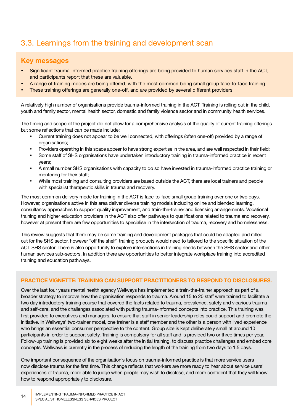## 3.3. Learnings from the training and development scan

## **Key messages**

- Significant trauma-informed practice training offerings are being provided to human services staff in the ACT, and participants report that these are valuable.
- A range of training modes are being offered, with the most common being small group face-to-face training.
- These training offerings are generally one-off, and are provided by several different providers.

A relatively high number of organisations provide trauma-informed training in the ACT. Training is rolling out in the child, youth and family sector, mental health sector, domestic and family violence sector and in community health services.

The timing and scope of the project did not allow for a comprehensive analysis of the quality of current training offerings but some reflections that can be made include:

- Current training does not appear to be well connected, with offerings (often one-off) provided by a range of organisations;
- Providers operating in this space appear to have strong expertise in the area, and are well respected in their field;
- Some staff of SHS organisations have undertaken introductory training in trauma-informed practice in recent years;
- A small number SHS organisations with capacity to do so have invested in trauma-informed practice training or mentoring for their staff;
- While most training and consulting providers are based outside the ACT, there are local trainers and people with specialist therapeutic skills in trauma and recovery.

The most common delivery mode for training in the ACT is face-to-face small group training over one or two days. However, organisations active in this area deliver diverse training models including online and blended learning, consultancy approaches to support quality improvement, and train-the-trainer and licensing arrangements. Vocational training and higher education providers in the ACT also offer pathways to qualifications related to trauma and recovery, however at present there are few opportunities to specialise in the intersection of trauma, recovery and homelessness.

This review suggests that there may be some training and development packages that could be adapted and rolled out for the SHS sector, however "off the shelf" training products would need to tailored to the specific situation of the ACT SHS sector. There is also opportunity to explore intersections in training needs between the SHS sector and other human services sub-sectors. In addition there are opportunities to better integrate workplace training into accredited training and education pathways.

#### **PRACTICE VIGNETTE: TRAINING CAN SUPPORT PRACTITIONERS TO RESPOND TO DISCLOSURES.**

Over the last four years mental health agency Wellways has implemented a train-the-trainer approach as part of a broader strategy to improve how the organisation responds to trauma. Around 15 to 20 staff were trained to facilitate a two day introductory training course that covered the facts related to trauma, prevalence, safety and vicarious trauma and self-care, and the challenges associated with putting trauma-informed concepts into practice. This training was first provided to executives and managers, to ensure that staff in senior leadership roles could support and promote the initiative. In Wellways' two-trainer model, one trainer is a staff member and the other is a person with lived experience who brings an essential consumer perspective to the content. Group size is kept deliberately small at around 10 participants in order to support safety. Training is compulsory for all staff and is provided two or three times per year. Follow-up training is provided six to eight weeks after the initial training, to discuss practice challenges and embed core concepts. Wellways is currently in the process of reducing the length of the training from two days to 1.5 days.

One important consequence of the organisation's focus on trauma-informed practice is that more service users now disclose trauma for the first time. This change reflects that workers are more ready to hear about service users' experiences of trauma, more able to judge when people may wish to disclose, and more confident that they will know how to respond appropriately to disclosure.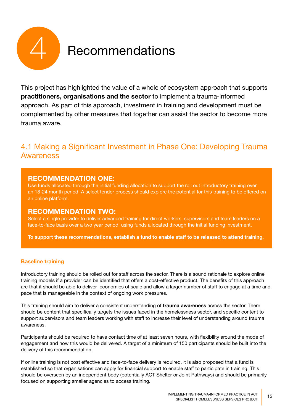

This project has highlighted the value of a whole of ecosystem approach that supports **practitioners, organisations and the sector** to implement a trauma-informed approach. As part of this approach, investment in training and development must be complemented by other measures that together can assist the sector to become more trauma aware.

## 4.1 Making a Significant Investment in Phase One: Developing Trauma **Awareness**

## **RECOMMENDATION ONE:**

Use funds allocated through the initial funding allocation to support the roll out introductory training over an 18-24 month period. A select tender process should explore the potential for this training to be offered on an online platform.

## **RECOMMENDATION TWO:**

Select a single provider to deliver advanced training for direct workers, supervisors and team leaders on a face-to-face basis over a two year period, using funds allocated through the initial funding investment.

**To support these recommendations, establish a fund to enable staff to be released to attend training.** 

#### **Baseline training**

Introductory training should be rolled out for staff across the sector. There is a sound rationale to explore online training models if a provider can be identified that offers a cost-effective product. The benefits of this approach are that it should be able to deliver economies of scale and allow a larger number of staff to engage at a time and pace that is manageable in the context of ongoing work pressures.

This training should aim to deliver a consistent understanding of **trauma awareness** across the sector. There should be content that specifically targets the issues faced in the homelessness sector, and specific content to support supervisors and team leaders working with staff to increase their level of understanding around trauma awareness.

Participants should be required to have contact time of at least seven hours, with flexibility around the mode of engagement and how this would be delivered. A target of a minimum of 150 participants should be built into the delivery of this recommendation.

If online training is not cost effective and face-to-face delivery is required, it is also proposed that a fund is established so that organisations can apply for financial support to enable staff to participate in training. This should be overseen by an independent body (potentially ACT Shelter or Joint Pathways) and should be primarily focused on supporting smaller agencies to access training.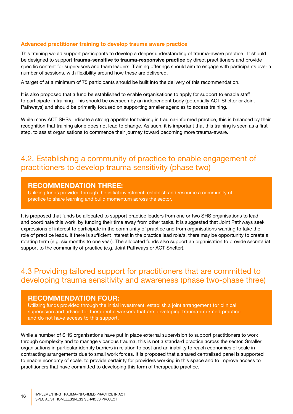#### **Advanced practitioner training to develop trauma aware practice**

This training would support participants to develop a deeper understanding of trauma-aware practice. It should be designed to support **trauma-sensitive to trauma-responsive practice** by direct practitioners and provide specific content for supervisors and team leaders. Training offerings should aim to engage with participants over a number of sessions, with flexibility around how these are delivered.

A target of at a minimum of 75 participants should be built into the delivery of this recommendation.

It is also proposed that a fund be established to enable organisations to apply for support to enable staff to participate in training. This should be overseen by an independent body (potentially ACT Shelter or Joint Pathways) and should be primarily focused on supporting smaller agencies to access training.

While many ACT SHSs indicate a strong appetite for training in trauma-informed practice, this is balanced by their recognition that training alone does not lead to change. As such, it is important that this training is seen as a first step, to assist organisations to commence their journey toward becoming more trauma-aware.

## 4.2. Establishing a community of practice to enable engagement of practitioners to develop trauma sensitivity (phase two)

## **RECOMMENDATION THREE:**

Utilizing funds provided through the initial investment, establish and resource a community of practice to share learning and build momentum across the sector.

It is proposed that funds be allocated to support practice leaders from one or two SHS organisations to lead and coordinate this work, by funding their time away from other tasks. It is suggested that Joint Pathways seek expressions of interest to participate in the community of practice and from organisations wanting to take the role of practice leads. If there is sufficient interest in the practice lead role/s, there may be opportunity to create a rotating term (e.g. six months to one year). The allocated funds also support an organisation to provide secretariat support to the community of practice (e.g. Joint Pathways or ACT Shelter).

## 4.3 Providing tailored support for practitioners that are committed to developing trauma sensitivity and awareness (phase two-phase three)

#### **RECOMMENDATION FOUR:**

Utilizing funds provided through the initial investment, establish a joint arrangement for clinical supervision and advice for therapeutic workers that are developing trauma-informed practice and do not have access to this support.

While a number of SHS organisations have put in place external supervision to support practitioners to work through complexity and to manage vicarious trauma, this is not a standard practice across the sector. Smaller organisations in particular identify barriers in relation to cost and an inability to reach economies of scale in contracting arrangements due to small work forces. It is proposed that a shared centralised panel is supported to enable economy of scale, to provide certainty for providers working in this space and to improve access to practitioners that have committed to developing this form of therapeutic practice.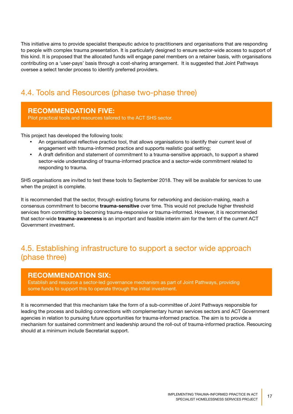This initiative aims to provide specialist therapeutic advice to practitioners and organisations that are responding to people with complex trauma presentation. It is particularly designed to ensure sector-wide access to support of this kind. It is proposed that the allocated funds will engage panel members on a retainer basis, with organisations contributing on a 'user-pays' basis through a cost-sharing arrangement. It is suggested that Joint Pathways oversee a select tender process to identify preferred providers.

## 4.4. Tools and Resources (phase two-phase three)

## **RECOMMENDATION FIVE:**

Pilot practical tools and resources tailored to the ACT SHS sector.

This project has developed the following tools:

- An organisational reflective practice tool, that allows organisations to identify their current level of engagement with trauma-informed practice and supports realistic goal setting;
- A draft definition and statement of commitment to a trauma-sensitive approach, to support a shared sector-wide understanding of trauma-informed practice and a sector-wide commitment related to responding to trauma.

SHS organisations are invited to test these tools to September 2018. They will be available for services to use when the project is complete.

It is recommended that the sector, through existing forums for networking and decision-making, reach a consensus commitment to become **trauma-sensitive** over time. This would not preclude higher threshold services from committing to becoming trauma-responsive or trauma-informed. However, it is recommended that sector-wide **trauma-awareness** is an important and feasible interim aim for the term of the current ACT Government investment.

## 4.5. Establishing infrastructure to support a sector wide approach (phase three)

## **RECOMMENDATION SIX:**

Establish and resource a sector-led governance mechanism as part of Joint Pathways, providing some funds to support this to operate through the initial investment.

It is recommended that this mechanism take the form of a sub-committee of Joint Pathways responsible for leading the process and building connections with complementary human services sectors and ACT Government agencies in relation to pursuing future opportunities for trauma-informed practice. The aim is to provide a mechanism for sustained commitment and leadership around the roll-out of trauma-informed practice. Resourcing should at a minimum include Secretariat support.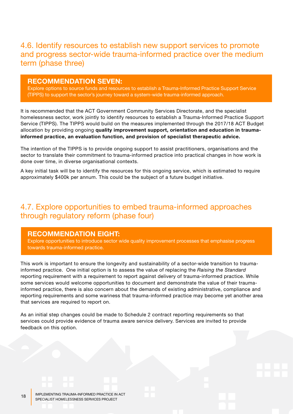## 4.6. Identify resources to establish new support services to promote and progress sector-wide trauma-informed practice over the medium term (phase three)

#### **RECOMMENDATION SEVEN:**

Explore options to source funds and resources to establish a Trauma-Informed Practice Support Service (TIPPS) to support the sector's journey toward a system-wide trauma-informed approach.

It is recommended that the ACT Government Community Services Directorate, and the specialist homelessness sector, work jointly to identify resources to establish a Trauma-Informed Practice Support Service (TIPPS). The TIPPS would build on the measures implemented through the 2017/18 ACT Budget allocation by providing ongoing **quality improvement support, orientation and education in traumainformed practice, an evaluation function, and provision of specialist therapeutic advice.** 

The intention of the TIPPS is to provide ongoing support to assist practitioners, organisations and the sector to translate their commitment to trauma-informed practice into practical changes in how work is done over time, in diverse organisational contexts.

A key initial task will be to identify the resources for this ongoing service, which is estimated to require approximately \$400k per annum. This could be the subject of a future budget initiative.

## 4.7. Explore opportunities to embed trauma-informed approaches through regulatory reform (phase four)

#### **RECOMMENDATION EIGHT:**

Explore opportunities to introduce sector wide quality improvement processes that emphasise progress towards trauma-informed practice.

This work is important to ensure the longevity and sustainability of a sector-wide transition to traumainformed practice. One initial option is to assess the value of replacing the *Raising the Standard* reporting requirement with a requirement to report against delivery of trauma-informed practice. While some services would welcome opportunities to document and demonstrate the value of their traumainformed practice, there is also concern about the demands of existing administrative, compliance and reporting requirements and some wariness that trauma-informed practice may become yet another area that services are required to report on.

As an initial step changes could be made to Schedule 2 contract reporting requirements so that services could provide evidence of trauma aware service delivery. Services are invited to provide feedback on this option.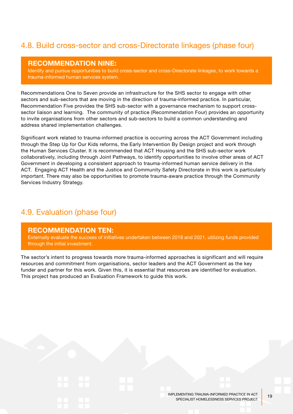## 4.8. Build cross-sector and cross-Directorate linkages (phase four)

#### **RECOMMENDATION NINE:**

Identify and pursue opportunities to build cross-sector and cross-Directorate linkages, to work towards a trauma-informed human services system.

Recommendations One to Seven provide an infrastructure for the SHS sector to engage with other sectors and sub-sectors that are moving in the direction of trauma-informed practice. In particular, Recommendation Five provides the SHS sub-sector with a governance mechanism to support crosssector liaison and learning. The community of practice (Recommendation Four) provides an opportunity to invite organisations from other sectors and sub-sectors to build a common understanding and address shared implementation challenges.

Significant work related to trauma-informed practice is occurring across the ACT Government including through the Step Up for Our Kids reforms, the Early Intervention By Design project and work through the Human Services Cluster. It is recommended that ACT Housing and the SHS sub-sector work collaboratively, including through Joint Pathways, to identify opportunities to involve other areas of ACT Government in developing a consistent approach to trauma-informed human service delivery in the ACT. Engaging ACT Health and the Justice and Community Safety Directorate in this work is particularly important. There may also be opportunities to promote trauma-aware practice through the Community Services Industry Strategy.

## 4.9. Evaluation (phase four)

#### **RECOMMENDATION TEN:**

Externally evaluate the success of initiatives undertaken between 2018 and 2021, utilizing funds provided through the initial investment.

The sector's intent to progress towards more trauma-informed approaches is significant and will require resources and commitment from organisations, sector leaders and the ACT Government as the key funder and partner for this work. Given this, it is essential that resources are identified for evaluation. This project has produced an Evaluation Framework to guide this work.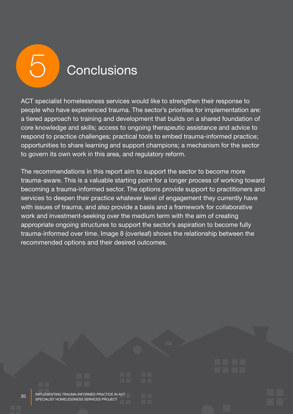**Conclusions** 

ACT specialist homelessness services would like to strengthen their response to people who have experienced trauma. The sector's priorities for implementation are: a tiered approach to training and development that builds on a shared foundation of core knowledge and skills; access to ongoing therapeutic assistance and advice to respond to practice challenges; practical tools to embed trauma-informed practice; opportunities to share learning and support champions; a mechanism for the sector to govern its own work in this area, and regulatory reform.

The recommendations in this report aim to support the sector to become more trauma-aware. This is a valuable starting point for a longer process of working toward becoming a trauma-informed sector. The options provide support to practitioners and services to deepen their practice whatever level of engagement they currently have with issues of trauma, and also provide a basis and a framework for collaborative work and investment-seeking over the medium term with the aim of creating appropriate ongoing structures to support the sector's aspiration to become fully trauma-informed over time. Image 8 (overleaf) shows the relationship between the recommended options and their desired outcomes.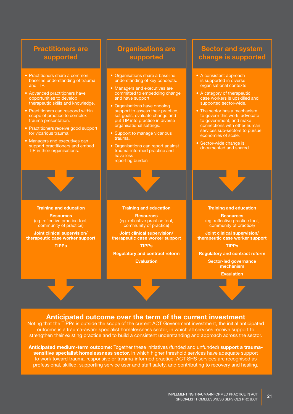

## **Anticipated outcome over the term of the current investment**

Noting that the TIPPs is outside the scope of the current ACT Government investment, the initial anticipated outcome is a trauma-aware specialist homelessness sector, in which all services receive support to strengthen their existing practice and to build a consistent understanding and approach across the sector.

**Anticipated medium-term outcome:** Together these initiatives (funded and unfunded) **support a traumasensitive specialist homelessness sector,** in which higher threshold services have adequate support to work toward trauma-responsive or trauma-informed practice. ACT SHS services are recognised as professional, skilled, supporting service user and staff safety, and contributing to recovery and healing.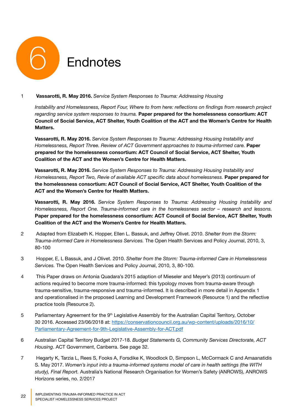

#### 1 **Vassarotti, R. May 2016.** *Service System Responses to Trauma: Addressing Housing*

*Instability and Homelessness, Report Four, Where to from here: reflections on findings from research project regarding service system responses to trauma.* **Paper prepared for the homelessness consortium: ACT Council of Social Service, ACT Shelter, Youth Coalition of the ACT and the Women's Centre for Health Matters.**

**Vassarotti, R. May 2016.** *Service System Responses to Trauma: Addressing Housing Instability and Homelessness, Report Three. Review of ACT Government approaches to trauma-informed care.* **Paper prepared for the homelessness consortium: ACT Council of Social Service, ACT Shelter, Youth Coalition of the ACT and the Women's Centre for Health Matters.**

**Vassarotti, R. May 2016.** *Service System Responses to Trauma: Addressing Housing Instability and Homelessness, Report Two, Revie of available ACT specific data about homelessness.* Paper prepared for **the homelessness consortium: ACT Council of Social Service, ACT Shelter, Youth Coalition of the ACT and the Women's Centre for Health Matters.**

**Vassarotti, R. May 2016.** *Service System Responses to Trauma: Addressing Housing Instability and Homelessness, Report One. Trauma-informed care in the homelessness sector – research and lessons.*  **Paper prepared for the homelessness consortium: ACT Council of Social Service, ACT Shelter, Youth Coalition of the ACT and the Women's Centre for Health Matters.**

- 2 Adapted from Elizabeth K. Hopper, Ellen L. Bassuk, and Jeffrey Olivet. 2010. *Shelter from the Storm: Trauma-informed Care in Homelessness Services.* The Open Health Services and Policy Journal, 2010, 3, 80-100
- 3 Hopper, E, L Bassuk, and J Olivet. 2010. *Shelter from the Storm: Trauma-informed Care in Homelessness Services.* The Open Health Services and Policy Journal, 2010, 3, 80-100.
- 4 This Paper draws on Antonia Quadara's 2015 adaption of Mieseler and Meyer's (2013) continuum of actions required to become more trauma-informed: this typology moves from trauma-aware through trauma-sensitive, trauma-responsive and trauma-informed. It is described in more detail in Appendix 1 and operationalised in the proposed Learning and Development Framework (Resource 1) and the reflective practice tools (Resource 2).
- 5 Parliamentary Agreement for the  $9<sup>th</sup>$  Legislative Assembly for the Australian Capital Territory, October 30 2016. Accessed 23/06/2018 at: https://conservationcouncil.org.au/wp-content/uploads/2016/10/ Parliamentary-Agreement-for-9th-Legislative-Assembly-for-ACT.pdf
- 6 Australian Capital Territory Budget 2017-18. *Budget Statements G, Community Services Directorate, ACT Housing*. ACT Government, Canberra. See page 32.
- 7 Hegarty K, Tarzia L, Rees S, Fooks A, Forsdike K, Woodlock D, Simpson L, McCormack C and Amaanatidis S. May 2017. *Women's input into a trauma-informed systems model of care in health settings (the WITH study), Final Report.* Australia's National Research Organisation for Women's Safety (ANROWS), ANROWS Horizons series, no. 2/2017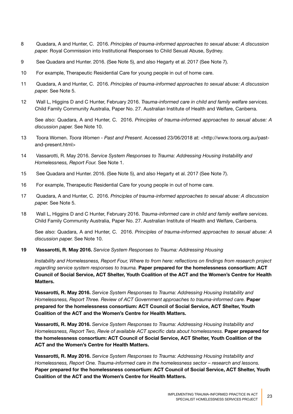- 8 Quadara, A and Hunter, C. 2016. *Principles of trauma-informed approaches to sexual abuse: A discussion paper.* Royal Commission into Institutional Responses to Child Sexual Abuse, Sydney.
- 9 See Quadara and Hunter. 2016. (See Note 5), and also Hegarty et al. 2017 (See Note 7).
- 10 For example, Therapeutic Residential Care for young people in out of home care.
- 11 Quadara, A and Hunter, C. 2016. *Principles of trauma-informed approaches to sexual abuse: A discussion paper.* See Note 5.
- 12 Wall L, Higgins D and C Hunter, February 2016. *Trauma-informed care in child and family welfare services.*  Child Family Community Australia, Paper No. 27. Australian Institute of Health and Welfare, Canberra.

See also: Quadara, A and Hunter, C. 2016. *Principles of trauma-informed approaches to sexual abuse: A discussion paper.* See Note 10.

- 13 Toora Women. *Toora Women Past and Present.* Accessed 23/06/2018 at: <http://www.toora.org.au/pastand-present.html>
- 14 Vassarotti, R. May 2016. *Service System Responses to Trauma: Addressing Housing Instability and Homelessness, Report Four.* See Note 1.
- 15 See Quadara and Hunter. 2016. (See Note 5), and also Hegarty et al. 2017 (See Note 7).
- 16 For example, Therapeutic Residential Care for young people in out of home care.
- 17 Quadara, A and Hunter, C. 2016. *Principles of trauma-informed approaches to sexual abuse: A discussion paper.* See Note 5.
- 18 Wall L, Higgins D and C Hunter, February 2016. *Trauma-informed care in child and family welfare services.*  Child Family Community Australia, Paper No. 27. Australian Institute of Health and Welfare, Canberra.

See also: Quadara, A and Hunter, C. 2016. *Principles of trauma-informed approaches to sexual abuse: A discussion paper.* See Note 10.

**19 Vassarotti, R. May 2016.** *Service System Responses to Trauma: Addressing Housing* 

*Instability and Homelessness, Report Four, Where to from here: reflections on findings from research project regarding service system responses to trauma.* **Paper prepared for the homelessness consortium: ACT Council of Social Service, ACT Shelter, Youth Coalition of the ACT and the Women's Centre for Health Matters.**

**Vassarotti, R. May 2016.** *Service System Responses to Trauma: Addressing Housing Instability and Homelessness, Report Three. Review of ACT Government approaches to trauma-informed care.* **Paper prepared for the homelessness consortium: ACT Council of Social Service, ACT Shelter, Youth Coalition of the ACT and the Women's Centre for Health Matters.**

**Vassarotti, R. May 2016.** *Service System Responses to Trauma: Addressing Housing Instability and Homelessness, Report Two, Revie of available ACT specific data about homelessness.* Paper prepared for **the homelessness consortium: ACT Council of Social Service, ACT Shelter, Youth Coalition of the ACT and the Women's Centre for Health Matters.**

**Vassarotti, R. May 2016.** *Service System Responses to Trauma: Addressing Housing Instability and Homelessness, Report One. Trauma-informed care in the homelessness sector – research and lessons.*  **Paper prepared for the homelessness consortium: ACT Council of Social Service, ACT Shelter, Youth Coalition of the ACT and the Women's Centre for Health Matters.**